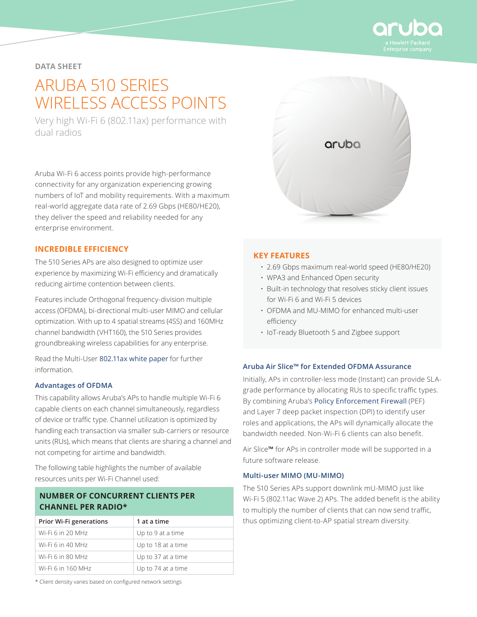

# **DATA SHEET**

# ARUBA 510 SERIES WIRELESS ACCESS POINTS

Very high Wi-Fi 6 (802.11ax) performance with dual radios

Aruba Wi-Fi 6 access points provide high-performance connectivity for any organization experiencing growing numbers of IoT and mobility requirements. With a maximum real-world aggregate data rate of 2.69 Gbps (HE80/HE20), they deliver the speed and reliability needed for any enterprise environment.

#### **INCREDIBLE EFFICIENCY**

The 510 Series APs are also designed to optimize user experience by maximizing Wi-Fi efficiency and dramatically reducing airtime contention between clients.

Features include Orthogonal frequency-division multiple access (OFDMA), bi-directional multi-user MIMO and cellular optimization. With up to 4 spatial streams (4SS) and 160MHz channel bandwidth (VHT160), the 510 Series provides groundbreaking wireless capabilities for any enterprise.

Read the Multi-User [802.11ax white paper](https://www.arubanetworks.com/assets/wp/WP_Multi-User-802.11ax.pdf) for further information.

#### **Advantages of OFDMA**

This capability allows Aruba's APs to handle multiple Wi-Fi 6 capable clients on each channel simultaneously, regardless of device or traffic type. Channel utilization is optimized by handling each transaction via smaller sub-carriers or resource units (RUs), which means that clients are sharing a channel and not competing for airtime and bandwidth.

The following table highlights the number of available resources units per Wi-Fi Channel used:

# **NUMBER OF CONCURRENT CLIENTS PER CHANNEL PER RADIO\***

| <b>Prior Wi-Fi generations</b> | 1 at a time        |
|--------------------------------|--------------------|
| Wi-Fi 6 in 20 MHz              | Up to 9 at a time  |
| Wi-Fi 6 in 40 MHz              | Up to 18 at a time |
| Wi-Fi 6 in 80 MHz              | Up to 37 at a time |
| Wi-Fi 6 in 160 MHz             | Up to 74 at a time |

\* Client density varies based on configured network settings



#### **KEY FEATURES**

- 2.69 Gbps maximum real-world speed (HE80/HE20)
- WPA3 and Enhanced Open security
- Built-in technology that resolves sticky client issues for Wi-Fi 6 and Wi-Fi 5 devices
- OFDMA and MU-MIMO for enhanced multi-user efficiency
- IoT-ready Bluetooth 5 and Zigbee support

#### **Aruba Air Slice™ for Extended OFDMA Assurance**

Initially, APs in controller-less mode (Instant) can provide SLAgrade performance by allocating RUs to specific traffic types. By combining Aruba's [Policy Enforcement Firewall](https://www.arubanetworks.com/assets/tg/TB_PEF.pdf) (PEF) and Layer 7 deep packet inspection (DPI) to identify user roles and applications, the APs will dynamically allocate the bandwidth needed. Non-Wi-Fi 6 clients can also benefit.

Air Slice**™** for APs in controller mode will be supported in a future software release.

#### **Multi-user MIMO (MU-MIMO)**

The 510 Series APs support downlink mU-MIMO just like Wi‑Fi 5 (802.11ac Wave 2) APs. The added benefit is the ability to multiply the number of clients that can now send traffic, thus optimizing client-to-AP spatial stream diversity.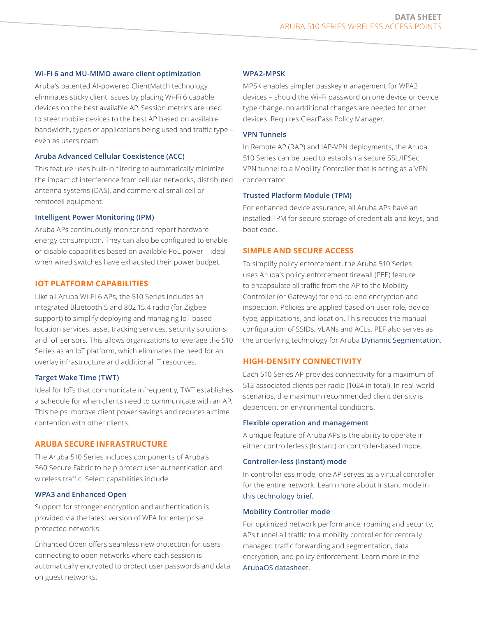#### **Wi-Fi 6 and MU-MIMO aware client optimization**

Aruba's patented AI-powered ClientMatch technology eliminates sticky client issues by placing Wi-Fi 6 capable devices on the best available AP. Session metrics are used to steer mobile devices to the best AP based on available bandwidth, types of applications being used and traffic type – even as users roam.

#### **Aruba Advanced Cellular Coexistence (ACC)**

This feature uses built-in filtering to automatically minimize the impact of interference from cellular networks, distributed antenna systems (DAS), and commercial small cell or femtocell equipment.

#### **Intelligent Power Monitoring (IPM)**

Aruba APs continuously monitor and report hardware energy consumption. They can also be configured to enable or disable capabilities based on available PoE power – ideal when wired switches have exhausted their power budget.

#### **IOT PLATFORM CAPABILITIES**

Like all Aruba Wi-Fi 6 APs, the 510 Series includes an integrated Bluetooth 5 and 802.15.4 radio (for Zigbee support) to simplify deploying and managing IoT-based location services, asset tracking services, security solutions and IoT sensors. This allows organizations to leverage the 510 Series as an IoT platform, which eliminates the need for an overlay infrastructure and additional IT resources.

#### **Target Wake Time (TWT)**

Ideal for IoTs that communicate infrequently, TWT establishes a schedule for when clients need to communicate with an AP. This helps improve client power savings and reduces airtime contention with other clients.

#### **ARUBA SECURE INFRASTRUCTURE**

The Aruba 510 Series includes components of Aruba's 360 Secure Fabric to help protect user authentication and wireless traffic. Select capabilities include:

#### **WPA3 and Enhanced Open**

Support for stronger encryption and authentication is provided via the latest version of WPA for enterprise protected networks.

Enhanced Open offers seamless new protection for users connecting to open networks where each session is automatically encrypted to protect user passwords and data on guest networks.

#### **WPA2-MPSK**

MPSK enables simpler passkey management for WPA2 devices – should the Wi-Fi password on one device or device type change, no additional changes are needed for other devices. Requires ClearPass Policy Manager.

#### **VPN Tunnels**

In Remote AP (RAP) and IAP-VPN deployments, the Aruba 510 Series can be used to establish a secure SSL/IPSec VPN tunnel to a Mobility Controller that is acting as a VPN concentrator.

#### **Trusted Platform Module (TPM)**

For enhanced device assurance, all Aruba APs have an installed TPM for secure storage of credentials and keys, and boot code.

#### **SIMPLE AND SECURE ACCESS**

To simplify policy enforcement, the Aruba 510 Series uses Aruba's policy enforcement firewall (PEF) feature to encapsulate all traffic from the AP to the Mobility Controller (or Gateway) for end-to-end encryption and inspection. Policies are applied based on user role, device type, applications, and location. This reduces the manual configuration of SSIDs, VLANs and ACLs. PEF also serves as the underlying technology for Aruba [Dynamic Segmentation](https://www.arubanetworks.com/solutions/dynamic-segmentation/).

#### **HIGH-DENSITY CONNECTIVITY**

Each 510 Series AP provides connectivity for a maximum of 512 associated clients per radio (1024 in total). In real-world scenarios, the maximum recommended client density is dependent on environmental conditions.

#### **Flexible operation and management**

A unique feature of Aruba APs is the ability to operate in either controllerless (Instant) or controller-based mode.

#### **Controller-less (Instant) mode**

In controllerless mode, one AP serves as a virtual controller for the entire network. Learn more about Instant mode in [this technology brief](https://www.arubanetworks.com/assets/tg/TB_Instant-Wi-Fi.pdf).

#### **Mobility Controller mode**

For optimized network performance, roaming and security, APs tunnel all traffic to a mobility controller for centrally managed traffic forwarding and segmentation, data encryption, and policy enforcement. Learn more in the [ArubaOS datasheet](https://www.arubanetworks.com/assets/ds/DS_ArubaOS.pdf).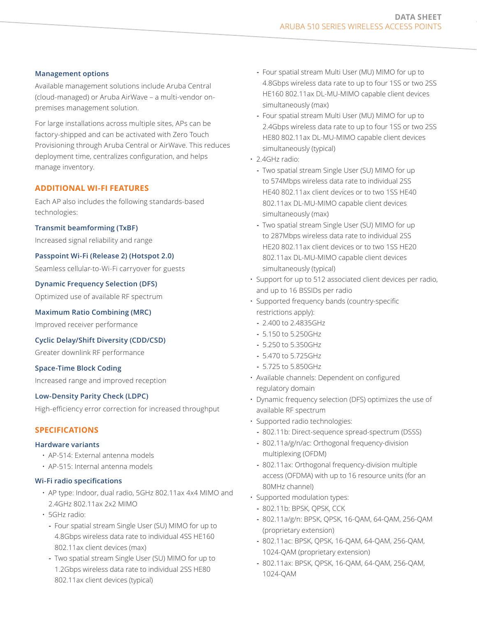#### **Management options**

Available management solutions include Aruba Central (cloud-managed) or Aruba AirWave – a multi-vendor onpremises management solution.

For large installations across multiple sites, APs can be factory-shipped and can be activated with Zero Touch Provisioning through Aruba Central or AirWave. This reduces deployment time, centralizes configuration, and helps manage inventory.

# **ADDITIONAL WI-FI FEATURES**

Each AP also includes the following standards-based technologies:

#### **Transmit beamforming (TxBF)**

Increased signal reliability and range

# **Passpoint Wi-Fi (Release 2) (Hotspot 2.0)**

Seamless cellular-to-Wi-Fi carryover for guests

#### **Dynamic Frequency Selection (DFS)**

Optimized use of available RF spectrum

#### **Maximum Ratio Combining (MRC)**

Improved receiver performance

**Cyclic Delay/Shift Diversity (CDD/CSD)**

Greater downlink RF performance

#### **Space-Time Block Coding**

Increased range and improved reception

# **Low-Density Parity Check (LDPC)**

High-efficiency error correction for increased throughput

# **SPECIFICATIONS**

#### **Hardware variants**

- AP-514: External antenna models
- AP-515: Internal antenna models

#### **Wi-Fi radio specifications**

- AP type: Indoor, dual radio, 5GHz 802.11ax 4x4 MIMO and 2.4GHz 802.11ax 2x2 MIMO
- 5GHz radio:
	- **-** Four spatial stream Single User (SU) MIMO for up to 4.8Gbps wireless data rate to individual 4SS HE160 802.11ax client devices (max)
	- **-** Two spatial stream Single User (SU) MIMO for up to 1.2Gbps wireless data rate to individual 2SS HE80 802.11ax client devices (typical)
- **-** Four spatial stream Multi User (MU) MIMO for up to 4.8Gbps wireless data rate to up to four 1SS or two 2SS HE160 802.11ax DL-MU-MIMO capable client devices simultaneously (max)
- **-** Four spatial stream Multi User (MU) MIMO for up to 2.4Gbps wireless data rate to up to four 1SS or two 2SS HE80 802.11ax DL-MU-MIMO capable client devices simultaneously (typical)
- 2.4GHz radio:
	- **-** Two spatial stream Single User (SU) MIMO for up to 574Mbps wireless data rate to individual 2SS HE40 802.11ax client devices or to two 1SS HE40 802.11ax DL-MU-MIMO capable client devices simultaneously (max)
	- **-** Two spatial stream Single User (SU) MIMO for up to 287Mbps wireless data rate to individual 2SS HE20 802.11ax client devices or to two 1SS HE20 802.11ax DL-MU-MIMO capable client devices simultaneously (typical)
- Support for up to 512 associated client devices per radio, and up to 16 BSSIDs per radio
- Supported frequency bands (country-specific restrictions apply):
	- **-** 2.400 to 2.4835GHz
	- **-** 5.150 to 5.250GHz
	- **-** 5.250 to 5.350GHz
	- **-** 5.470 to 5.725GHz
	- **-** 5.725 to 5.850GHz
- Available channels: Dependent on configured regulatory domain
- Dynamic frequency selection (DFS) optimizes the use of available RF spectrum
- Supported radio technologies:
	- **-** 802.11b: Direct-sequence spread-spectrum (DSSS)
	- **-** 802.11a/g/n/ac: Orthogonal frequency-division multiplexing (OFDM)
	- **-** 802.11ax: Orthogonal frequency-division multiple access (OFDMA) with up to 16 resource units (for an 80MHz channel)
- Supported modulation types:
	- **-** 802.11b: BPSK, QPSK, CCK
	- **-** 802.11a/g/n: BPSK, QPSK, 16-QAM, 64-QAM, 256-QAM (proprietary extension)
	- **-** 802.11ac: BPSK, QPSK, 16-QAM, 64-QAM, 256-QAM, 1024-QAM (proprietary extension)
	- **-** 802.11ax: BPSK, QPSK, 16-QAM, 64-QAM, 256-QAM, 1024-QAM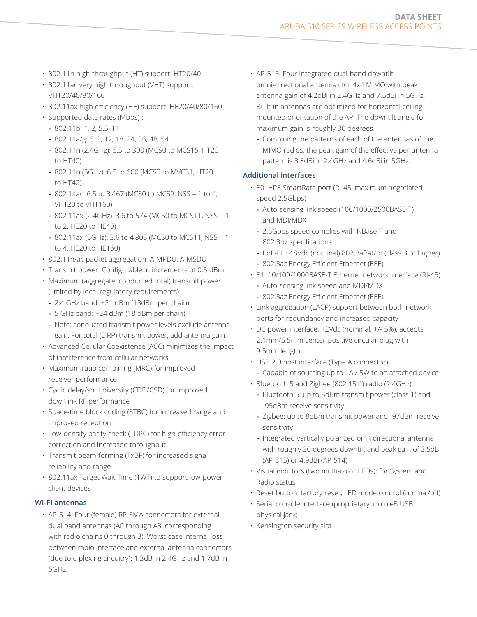- 802.11n high-throughput (HT) support: HT20/40
- 802.11ac very high throughput (VHT) support: VHT20/40/80/160
- 802.11ax high efficiency (HE) support: HE20/40/80/160
- Supported data rates (Mbps) :
	- **-** 802.11b: 1, 2, 5.5, 11
	- **-** 802.11a/g: 6, 9, 12, 18, 24, 36, 48, 54
	- **-** 802.11n (2.4GHz): 6.5 to 300 (MCS0 to MCS15, HT20 to HT40)
	- **-** 802.11n (5GHz): 6.5 to 600 (MCS0 to MVC31, HT20 to HT40)
	- **-** 802.11ac: 6.5 to 3,467 (MCS0 to MCS9, NSS = 1 to 4, VHT20 to VHT160)
	- **-** 802.11ax (2.4GHz): 3.6 to 574 (MCS0 to MCS11, NSS = 1 to 2, HE20 to HE40)
	- **-** 802.11ax (5GHz): 3.6 to 4,803 (MCS0 to MCS11, NSS = 1 to 4, HE20 to HE160)
- 802.11n/ac packet aggregation: A-MPDU, A-MSDU
- Transmit power: Configurable in increments of 0.5 dBm
- Maximum (aggregate, conducted total) transmit power (limited by local regulatory requirements):
	- **-** 2.4 GHz band: +21 dBm (18dBm per chain)
	- **-** 5 GHz band: +24 dBm (18 dBm per chain)
	- **-** Note: conducted transmit power levels exclude antenna gain. For total (EIRP) transmit power, add antenna gain.
- Advanced Cellular Coexistence (ACC) minimizes the impact of interference from cellular networks
- Maximum ratio combining (MRC) for improved receiver performance
- Cyclic delay/shift diversity (CDD/CSD) for improved downlink RF performance
- Space-time block coding (STBC) for increased range and improved reception
- Low-density parity check (LDPC) for high-efficiency error correction and increased throughput
- Transmit beam-forming (TxBF) for increased signal reliability and range
- 802.11ax Target Wait Time (TWT) to support low-power client devices

# **Wi-Fi antennas**

• AP-514: Four (female) RP-SMA connectors for external dual band antennas (A0 through A3, corresponding with radio chains 0 through 3). Worst-case internal loss between radio interface and external antenna connectors (due to diplexing circuitry): 1.3dB in 2.4GHz and 1.7dB in 5GHz.

- AP-515: Four integrated dual-band downtilt omni-directional antennas for 4x4 MIMO with peak antenna gain of 4.2dBi in 2.4GHz and 7.5dBi in 5GHz. Built-in antennas are optimized for horizontal ceiling mounted orientation of the AP. The downtilt angle for maximum gain is roughly 30 degrees.
	- **-** Combining the patterns of each of the antennas of the MIMO radios, the peak gain of the effective per-antenna pattern is 3.8dBi in 2.4GHz and 4.6dBi in 5GHz.

#### **Additional interfaces**

- E0: HPE SmartRate port (RJ-45, maximum negotiated speed 2.5Gbps)
	- **-** Auto-sensing link speed (100/1000/2500BASE-T) and MDI/MDX
	- **-** 2.5Gbps speed complies with NBase-T and 802.3bz specifications
	- **-** PoE-PD: 48Vdc (nominal) 802.3af/at/bt (class 3 or higher)
	- **-** 802.3az Energy Efficient Ethernet (EEE)
- E1: 10/100/1000BASE-T Ethernet network interface (RJ-45)
	- **-** Auto-sensing link speed and MDI/MDX
	- **-** 802.3az Energy Efficient Ethernet (EEE)
- Link aggregation (LACP) support between both network ports for redundancy and increased capacity
- DC power interface: 12Vdc (nominal, +/- 5%), accepts 2.1mm/5.5mm center-positive circular plug with 9.5mm length
- USB 2.0 host interface (Type A connector) **-** Capable of sourcing up to 1A / 5W to an attached device
- Bluetooth 5 and Zigbee (802.15.4) radio (2.4GHz)
	- **-** Bluetooth 5: up to 8dBm transmit power (class 1) and -95dBm receive sensitivity
	- **-** Zigbee: up to 8dBm transmit power and -97dBm receive sensitivity
	- **-** Integrated vertically polarized omnidirectional antenna with roughly 30 degrees downtilt and peak gain of 3.5dBi (AP-515) or 4.9dBi (AP-514)
- Visual indictors (two multi-color LEDs): for System and Radio status
- Reset button: factory reset, LED mode control (normal/off)
- Serial console interface (proprietary, micro-B USB physical jack)
- Kensington security slot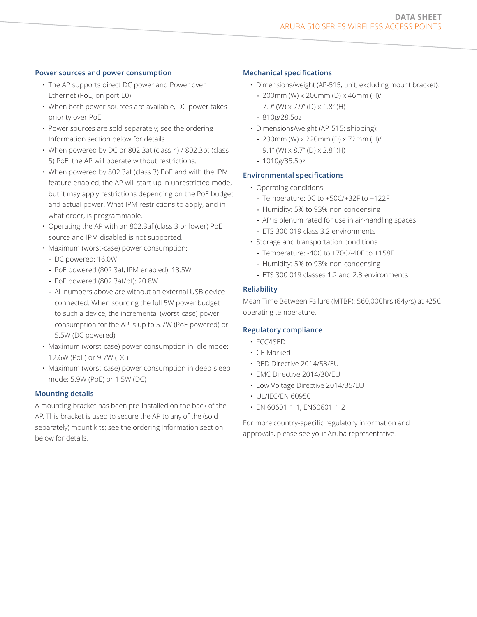#### **Power sources and power consumption**

- The AP supports direct DC power and Power over Ethernet (PoE; on port E0)
- When both power sources are available, DC power takes priority over PoE
- Power sources are sold separately; see the ordering Information section below for details
- When powered by DC or 802.3at (class 4) / 802.3bt (class 5) PoE, the AP will operate without restrictions.
- When powered by 802.3af (class 3) PoE and with the IPM feature enabled, the AP will start up in unrestricted mode, but it may apply restrictions depending on the PoE budget and actual power. What IPM restrictions to apply, and in what order, is programmable.
- Operating the AP with an 802.3af (class 3 or lower) PoE source and IPM disabled is not supported.
- Maximum (worst-case) power consumption:
	- **-** DC powered: 16.0W
	- **-** PoE powered (802.3af, IPM enabled): 13.5W
	- **-** PoE powered (802.3at/bt): 20.8W
	- **-** All numbers above are without an external USB device connected. When sourcing the full 5W power budget to such a device, the incremental (worst-case) power consumption for the AP is up to 5.7W (PoE powered) or 5.5W (DC powered).
- Maximum (worst-case) power consumption in idle mode: 12.6W (PoE) or 9.7W (DC)
- Maximum (worst-case) power consumption in deep-sleep mode: 5.9W (PoE) or 1.5W (DC)

#### **Mounting details**

A mounting bracket has been pre-installed on the back of the AP. This bracket is used to secure the AP to any of the (sold separately) mount kits; see the ordering Information section below for details.

#### **Mechanical specifications**

- Dimensions/weight (AP-515; unit, excluding mount bracket):
	- **-** 200mm (W) x 200mm (D) x 46mm (H)/ 7.9" (W) x 7.9" (D) x 1.8" (H)
	- **-** 810g/28.5oz
- Dimensions/weight (AP-515; shipping):
	- **-** 230mm (W) x 220mm (D) x 72mm (H)/ 9.1" (W) x 8.7" (D) x 2.8" (H)
	- **-** 1010g/35.5oz

#### **Environmental specifications**

- Operating conditions
	- **-** Temperature: 0C to +50C/+32F to +122F
	- **-** Humidity: 5% to 93% non-condensing
	- **-** AP is plenum rated for use in air-handling spaces **-** ETS 300 019 class 3.2 environments
- Storage and transportation conditions
	- **-** Temperature: -40C to +70C/-40F to +158F
	- **-** Humidity: 5% to 93% non-condensing
	- **-** ETS 300 019 classes 1.2 and 2.3 environments

#### **Reliability**

Mean Time Between Failure (MTBF): 560,000hrs (64yrs) at +25C operating temperature.

#### **Regulatory compliance**

- FCC/ISED
- CE Marked
- RED Directive 2014/53/EU
- EMC Directive 2014/30/EU
- Low Voltage Directive 2014/35/EU
- UL/IEC/EN 60950
- EN 60601-1-1, EN60601-1-2

For more country-specific regulatory information and approvals, please see your Aruba representative.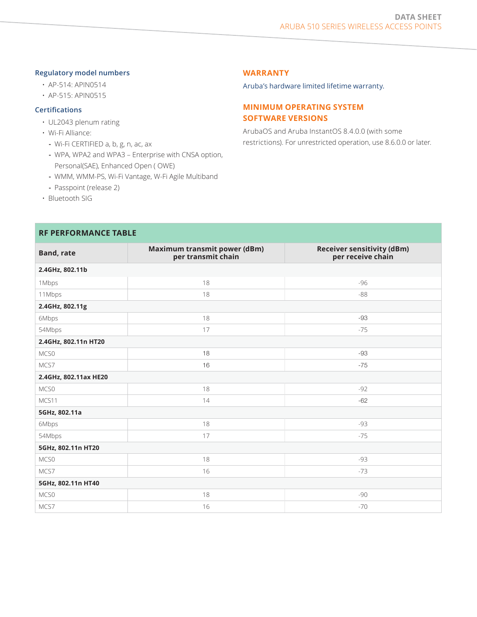#### **Regulatory model numbers**

- AP-514: APIN0514
- AP-515: APIN0515

# **Certifications**

- UL2043 plenum rating
- Wi-Fi Alliance:
	- **-** Wi-Fi CERTIFIED a, b, g, n, ac, ax
	- **-** WPA, WPA2 and WPA3 Enterprise with CNSA option, Personal(SAE), Enhanced Open ( OWE)
	- **-** WMM, WMM-PS, Wi-Fi Vantage, W-Fi Agile Multiband
	- **-** Passpoint (release 2)
- Bluetooth SIG

# **RF PERFORMANCE TABLE**

#### **WARRANTY**

[Aruba's hardware limited lifetime warranty.](https://www.arubanetworks.com/support-services/product-warranties/)

# **MINIMUM OPERATING SYSTEM SOFTWARE VERSIONS**

ArubaOS and Aruba InstantOS 8.4.0.0 (with some restrictions). For unrestricted operation, use 8.6.0.0 or later.

| <b>Band, rate</b>     | Maximum transmit power (dBm)<br>per transmit chain | <b>Receiver sensitivity (dBm)</b><br>per receive chain |  |  |
|-----------------------|----------------------------------------------------|--------------------------------------------------------|--|--|
| 2.4GHz, 802.11b       |                                                    |                                                        |  |  |
| 1Mbps                 | 18                                                 | $-96$                                                  |  |  |
| 11Mbps                | 18                                                 | $-88$                                                  |  |  |
| 2.4GHz, 802.11g       |                                                    |                                                        |  |  |
| 6Mbps                 | 18                                                 | -93                                                    |  |  |
| 54Mbps                | 17                                                 | $-75$                                                  |  |  |
| 2.4GHz, 802.11n HT20  |                                                    |                                                        |  |  |
| MCS0                  | 18                                                 | -93                                                    |  |  |
| MCS7                  | 16                                                 | $-75$                                                  |  |  |
| 2.4GHz, 802.11ax HE20 |                                                    |                                                        |  |  |
| MCS0                  | 18                                                 | $-92$                                                  |  |  |
| MCS11                 | 14                                                 | $-62$                                                  |  |  |
| 5GHz, 802.11a         |                                                    |                                                        |  |  |
| 6Mbps                 | 18                                                 | -93                                                    |  |  |
| 54Mbps                | 17                                                 | $-75$                                                  |  |  |
| 5GHz, 802.11n HT20    |                                                    |                                                        |  |  |
| MCS0                  | 18                                                 | -93                                                    |  |  |
| MCS7                  | 16                                                 | $-73$                                                  |  |  |
| 5GHz, 802.11n HT40    |                                                    |                                                        |  |  |
| MCS0                  | 18                                                 | -90                                                    |  |  |
| MCS7                  | 16                                                 | $-70$                                                  |  |  |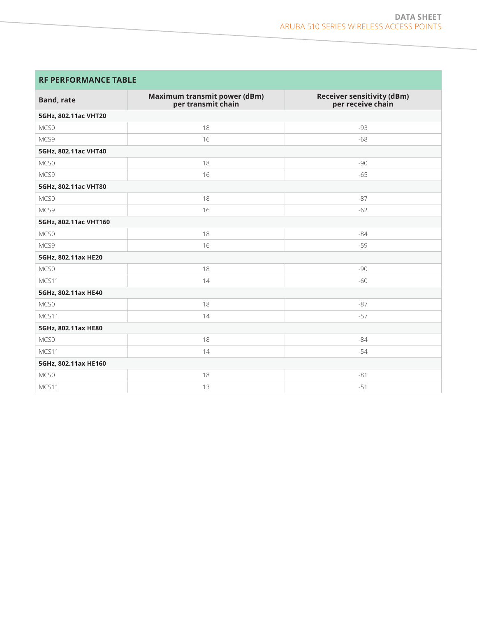# **RF PERFORMANCE TABLE**

| <b>Band, rate</b>     | Maximum transmit power (dBm)<br>per transmit chain | <b>Receiver sensitivity (dBm)</b><br>per receive chain |
|-----------------------|----------------------------------------------------|--------------------------------------------------------|
| 5GHz, 802.11ac VHT20  |                                                    |                                                        |
| MCS0                  | 18                                                 | $-93$                                                  |
| MCS9                  | 16                                                 | $-68$                                                  |
| 5GHz, 802.11ac VHT40  |                                                    |                                                        |
| MCS0                  | 18                                                 | $-90$                                                  |
| MCS9                  | 16                                                 | $-65$                                                  |
| 5GHz, 802.11ac VHT80  |                                                    |                                                        |
| MCS0                  | 18                                                 | $-87$                                                  |
| MCS9                  | 16                                                 | $-62$                                                  |
| 5GHz, 802.11ac VHT160 |                                                    |                                                        |
| MCS <sub>0</sub>      | 18                                                 | $-84$                                                  |
| MCS9                  | 16                                                 | $-59$                                                  |
| 5GHz, 802.11ax HE20   |                                                    |                                                        |
| MCS0                  | 18                                                 | $-90$                                                  |
| MCS11                 | 14                                                 | $-60$                                                  |
| 5GHz, 802.11ax HE40   |                                                    |                                                        |
| MCS0                  | 18                                                 | $-87$                                                  |
| MCS11                 | 14                                                 | $-57$                                                  |
| 5GHz, 802.11ax HE80   |                                                    |                                                        |
| MCS0                  | 18                                                 | $-84$                                                  |
| MCS11                 | 14                                                 | $-54$                                                  |
| 5GHz, 802.11ax HE160  |                                                    |                                                        |
| MCS0                  | 18                                                 | $-81$                                                  |
| MCS11                 | 13                                                 | $-51$                                                  |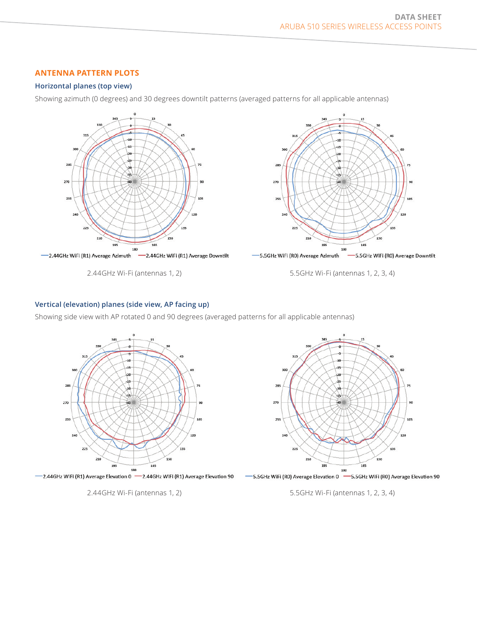# **ANTENNA PATTERN PLOTS**

# **Horizontal planes (top view)**

Showing azimuth (0 degrees) and 30 degrees downtilt patterns (averaged patterns for all applicable antennas)



2.44GHz Wi-Fi (antennas 1, 2)

5.5GHz Wi-Fi (antennas 1, 2, 3, 4)

120

135

150

165

# **Vertical (elevation) planes (side view, AP facing up)**

Showing side view with AP rotated 0 and 90 degrees (averaged patterns for all applicable antennas)





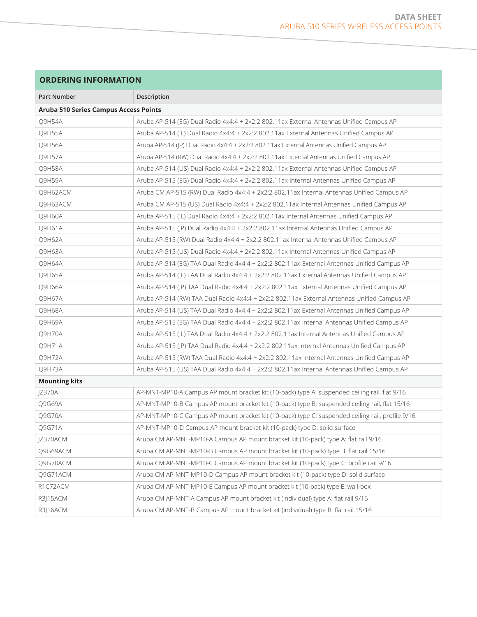# **ORDERING INFORMATION**

| <b>Part Number</b>                    | Description                                                                                      |  |
|---------------------------------------|--------------------------------------------------------------------------------------------------|--|
| Aruba 510 Series Campus Access Points |                                                                                                  |  |
| Q9H54A                                | Aruba AP-514 (EG) Dual Radio 4x4:4 + 2x2:2 802.11ax External Antennas Unified Campus AP          |  |
| Q9H55A                                | Aruba AP-514 (IL) Dual Radio 4x4:4 + 2x2:2 802.11ax External Antennas Unified Campus AP          |  |
| Q9H56A                                | Aruba AP-514 (JP) Dual Radio 4x4:4 + 2x2:2 802.11ax External Antennas Unified Campus AP          |  |
| Q9H57A                                | Aruba AP-514 (RW) Dual Radio 4x4:4 + 2x2:2 802.11ax External Antennas Unified Campus AP          |  |
| Q9H58A                                | Aruba AP-514 (US) Dual Radio 4x4:4 + 2x2:2 802.11ax External Antennas Unified Campus AP          |  |
| Q9H59A                                | Aruba AP-515 (EG) Dual Radio 4x4:4 + 2x2:2 802.11ax Internal Antennas Unified Campus AP          |  |
| Q9H62ACM                              | Aruba CM AP-515 (RW) Dual Radio 4x4:4 + 2x2:2 802.11ax Internal Antennas Unified Campus AP       |  |
| Q9H63ACM                              | Aruba CM AP-515 (US) Dual Radio 4x4:4 + 2x2:2 802.11ax Internal Antennas Unified Campus AP       |  |
| Q9H60A                                | Aruba AP-515 (IL) Dual Radio 4x4:4 + 2x2:2 802.11ax Internal Antennas Unified Campus AP          |  |
| Q9H61A                                | Aruba AP-515 (JP) Dual Radio 4x4:4 + 2x2:2 802.11ax Internal Antennas Unified Campus AP          |  |
| Q9H62A                                | Aruba AP-515 (RW) Dual Radio 4x4:4 + 2x2:2 802.11ax Internal Antennas Unified Campus AP          |  |
| Q9H63A                                | Aruba AP-515 (US) Dual Radio 4x4:4 + 2x2:2 802.11ax Internal Antennas Unified Campus AP          |  |
| Q9H64A                                | Aruba AP-514 (EG) TAA Dual Radio 4x4:4 + 2x2:2 802.11ax External Antennas Unified Campus AP      |  |
| Q9H65A                                | Aruba AP-514 (IL) TAA Dual Radio 4x4:4 + 2x2:2 802.11ax External Antennas Unified Campus AP      |  |
| <b>O9H66A</b>                         | Aruba AP-514 (JP) TAA Dual Radio 4x4:4 + 2x2:2 802.11ax External Antennas Unified Campus AP      |  |
| Q9H67A                                | Aruba AP-514 (RW) TAA Dual Radio 4x4:4 + 2x2:2 802.11ax External Antennas Unified Campus AP      |  |
| Q9H68A                                | Aruba AP-514 (US) TAA Dual Radio 4x4:4 + 2x2:2 802.11ax External Antennas Unified Campus AP      |  |
| Q9H69A                                | Aruba AP-515 (EG) TAA Dual Radio 4x4:4 + 2x2:2 802.11ax Internal Antennas Unified Campus AP      |  |
| Q9H70A                                | Aruba AP-515 (IL) TAA Dual Radio 4x4:4 + 2x2:2 802.11ax Internal Antennas Unified Campus AP      |  |
| Q9H71A                                | Aruba AP-515 (JP) TAA Dual Radio 4x4:4 + 2x2:2 802.11ax Internal Antennas Unified Campus AP      |  |
| Q9H72A                                | Aruba AP-515 (RW) TAA Dual Radio 4x4:4 + 2x2:2 802.11ax Internal Antennas Unified Campus AP      |  |
| Q9H73A                                | Aruba AP-515 (US) TAA Dual Radio 4x4:4 + 2x2:2 802.11ax Internal Antennas Unified Campus AP      |  |
| <b>Mounting kits</b>                  |                                                                                                  |  |
| JZ370A                                | AP-MNT-MP10-A Campus AP mount bracket kit (10-pack) type A: suspended ceiling rail, flat 9/16    |  |
| Q9G69A                                | AP-MNT-MP10-B Campus AP mount bracket kit (10-pack) type B: suspended ceiling rail, flat 15/16   |  |
| <b>O9G70A</b>                         | AP-MNT-MP10-C Campus AP mount bracket kit (10-pack) type C: suspended ceiling rail, profile 9/16 |  |
| Q9G71A                                | AP-MNT-MP10-D Campus AP mount bracket kit (10-pack) type D: solid surface                        |  |
| JZ370ACM                              | Aruba CM AP-MNT-MP10-A Campus AP mount bracket kit (10-pack) type A: flat rail 9/16              |  |
| O9G69ACM                              | Aruba CM AP-MNT-MP10-B Campus AP mount bracket kit (10-pack) type B: flat rail 15/16             |  |
| Q9G70ACM                              | Aruba CM AP-MNT-MP10-C Campus AP mount bracket kit (10-pack) type C: profile rail 9/16           |  |
| Q9G71ACM                              | Aruba CM AP-MNT-MP10-D Campus AP mount bracket kit (10-pack) type D: solid surface               |  |
| R1C72ACM                              | Aruba CM AP-MNT-MP10-E Campus AP mount bracket kit (10-pack) type E: wall-box                    |  |
| R3J15ACM                              | Aruba CM AP-MNT-A Campus AP mount bracket kit (individual) type A: flat rail 9/16                |  |
| R3 16ACM                              | Aruba CM AP-MNT-B Campus AP mount bracket kit (individual) type B: flat rail 15/16               |  |